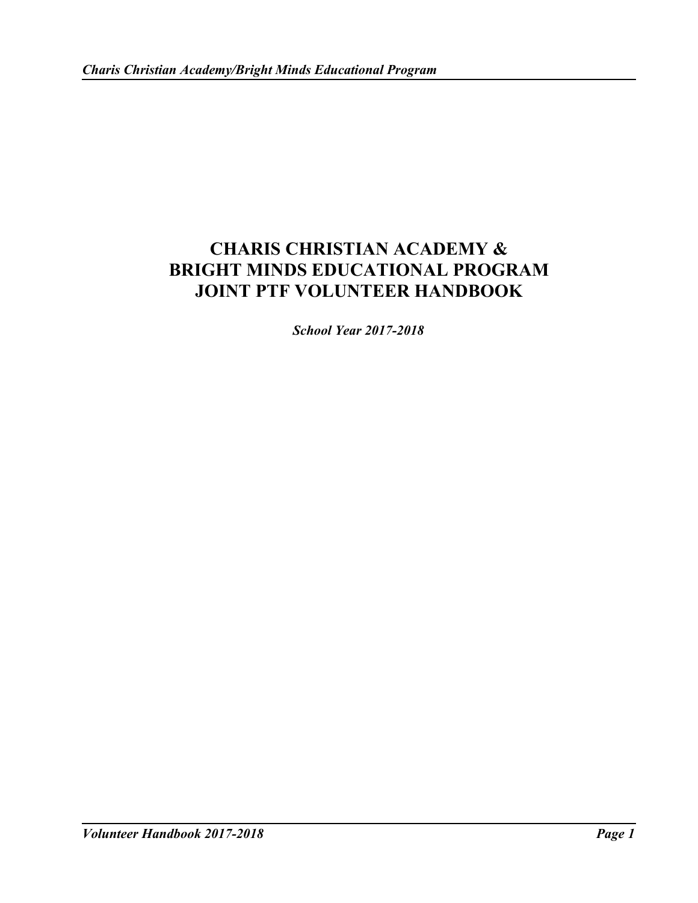# **CHARIS CHRISTIAN ACADEMY & BRIGHT MINDS EDUCATIONAL PROGRAM JOINT PTF VOLUNTEER HANDBOOK**

*School Year 2017-2018*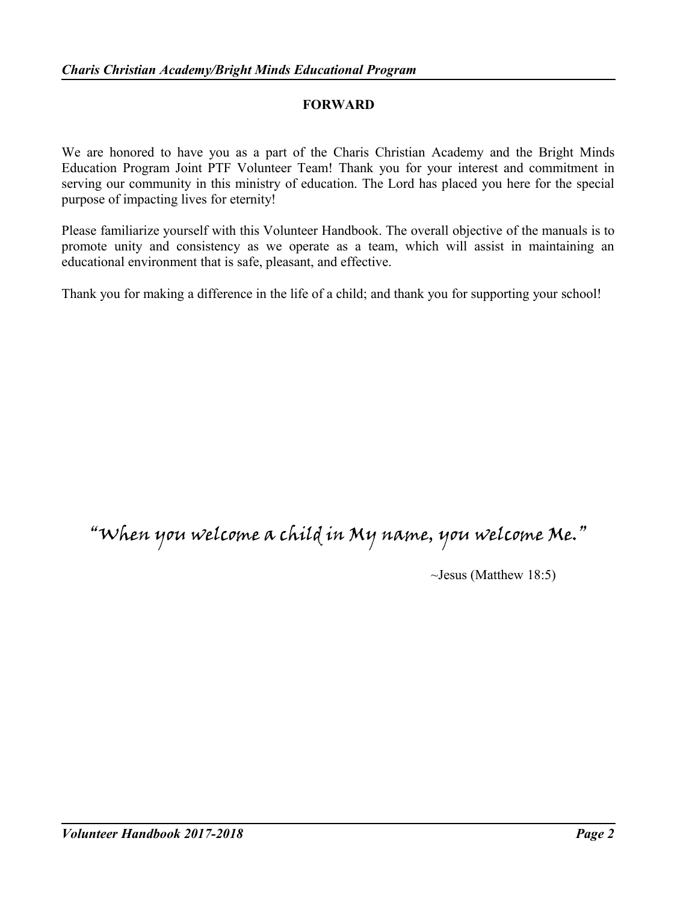#### **FORWARD**

We are honored to have you as a part of the Charis Christian Academy and the Bright Minds Education Program Joint PTF Volunteer Team! Thank you for your interest and commitment in serving our community in this ministry of education. The Lord has placed you here for the special purpose of impacting lives for eternity!

Please familiarize yourself with this Volunteer Handbook. The overall objective of the manuals is to promote unity and consistency as we operate as a team, which will assist in maintaining an educational environment that is safe, pleasant, and effective.

Thank you for making a difference in the life of a child; and thank you for supporting your school!

# "When you welcome a child in My name, you welcome Me."

~Jesus (Matthew 18:5)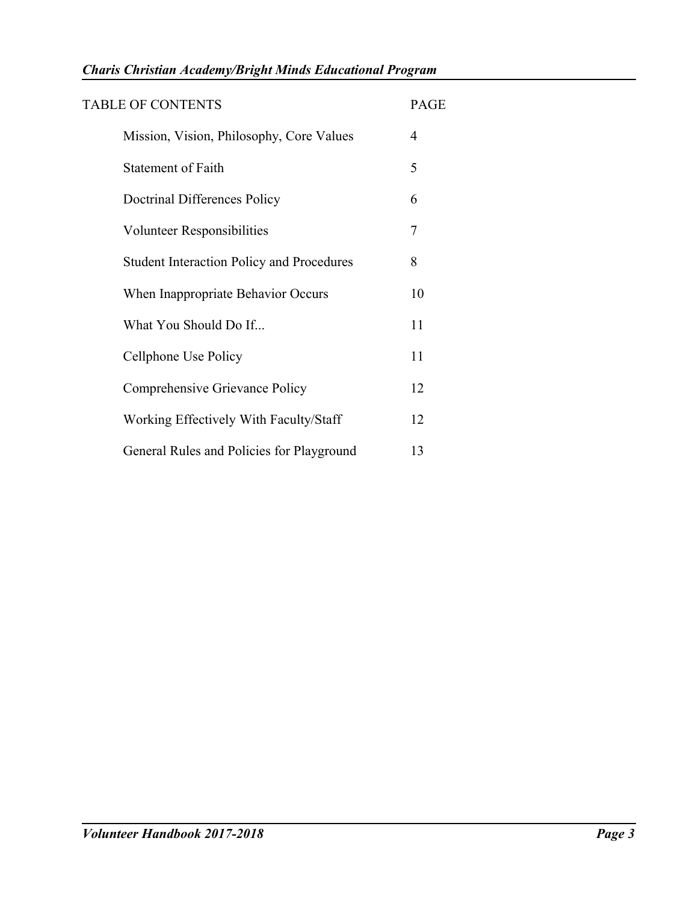| <b>TABLE OF CONTENTS</b>                         | <b>PAGE</b> |
|--------------------------------------------------|-------------|
| Mission, Vision, Philosophy, Core Values         | 4           |
| <b>Statement of Faith</b>                        | 5           |
| Doctrinal Differences Policy                     | 6           |
| <b>Volunteer Responsibilities</b>                | 7           |
| <b>Student Interaction Policy and Procedures</b> | 8           |
| When Inappropriate Behavior Occurs               | 10          |
| What You Should Do If                            | 11          |
| Cellphone Use Policy                             | 11          |
| Comprehensive Grievance Policy                   | 12          |
| Working Effectively With Faculty/Staff           | 12          |
| General Rules and Policies for Playground        | 13          |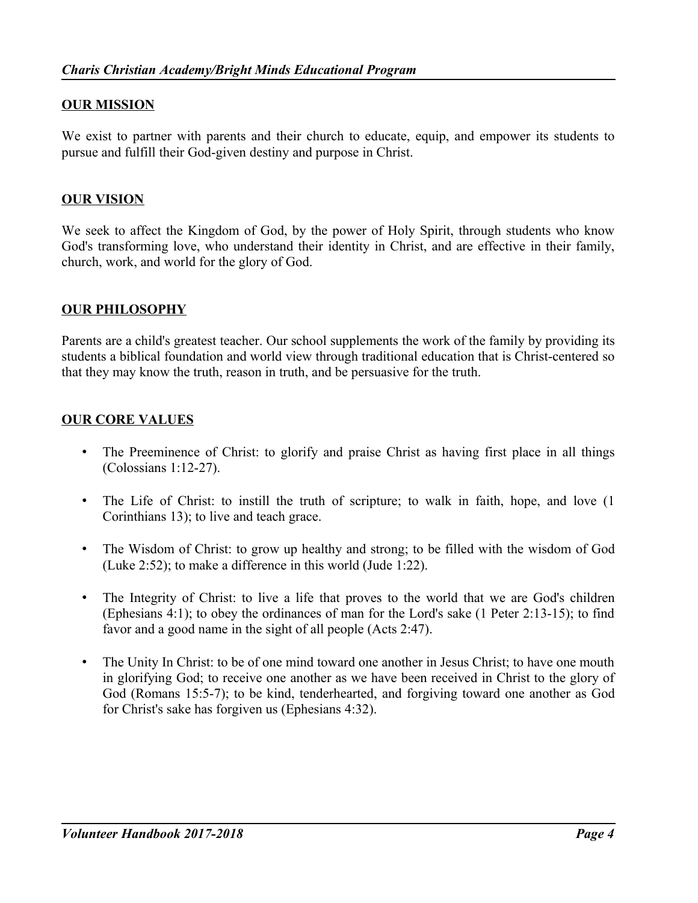# **OUR MISSION**

We exist to partner with parents and their church to educate, equip, and empower its students to pursue and fulfill their God-given destiny and purpose in Christ.

# **OUR VISION**

We seek to affect the Kingdom of God, by the power of Holy Spirit, through students who know God's transforming love, who understand their identity in Christ, and are effective in their family, church, work, and world for the glory of God.

## **OUR PHILOSOPHY**

Parents are a child's greatest teacher. Our school supplements the work of the family by providing its students a biblical foundation and world view through traditional education that is Christ-centered so that they may know the truth, reason in truth, and be persuasive for the truth.

## **OUR CORE VALUES**

- The Preeminence of Christ: to glorify and praise Christ as having first place in all things (Colossians 1:12-27).
- The Life of Christ: to instill the truth of scripture; to walk in faith, hope, and love (1) Corinthians 13); to live and teach grace.
- The Wisdom of Christ: to grow up healthy and strong; to be filled with the wisdom of God (Luke 2:52); to make a difference in this world (Jude 1:22).
- The Integrity of Christ: to live a life that proves to the world that we are God's children (Ephesians 4:1); to obey the ordinances of man for the Lord's sake (1 Peter 2:13-15); to find favor and a good name in the sight of all people (Acts 2:47).
- The Unity In Christ: to be of one mind toward one another in Jesus Christ; to have one mouth in glorifying God; to receive one another as we have been received in Christ to the glory of God (Romans 15:5-7); to be kind, tenderhearted, and forgiving toward one another as God for Christ's sake has forgiven us (Ephesians 4:32).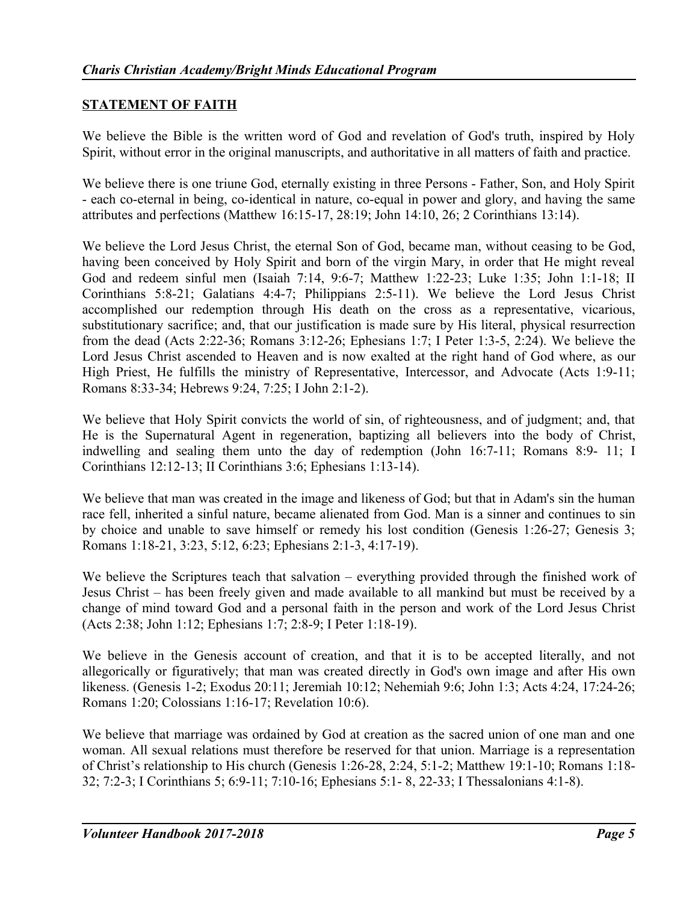# **STATEMENT OF FAITH**

We believe the Bible is the written word of God and revelation of God's truth, inspired by Holy Spirit, without error in the original manuscripts, and authoritative in all matters of faith and practice.

We believe there is one triune God, eternally existing in three Persons - Father, Son, and Holy Spirit - each co-eternal in being, co-identical in nature, co-equal in power and glory, and having the same attributes and perfections (Matthew 16:15-17, 28:19; John 14:10, 26; 2 Corinthians 13:14).

We believe the Lord Jesus Christ, the eternal Son of God, became man, without ceasing to be God, having been conceived by Holy Spirit and born of the virgin Mary, in order that He might reveal God and redeem sinful men (Isaiah 7:14, 9:6-7; Matthew 1:22-23; Luke 1:35; John 1:1-18; II Corinthians 5:8-21; Galatians 4:4-7; Philippians 2:5-11). We believe the Lord Jesus Christ accomplished our redemption through His death on the cross as a representative, vicarious, substitutionary sacrifice; and, that our justification is made sure by His literal, physical resurrection from the dead (Acts 2:22-36; Romans 3:12-26; Ephesians 1:7; I Peter 1:3-5, 2:24). We believe the Lord Jesus Christ ascended to Heaven and is now exalted at the right hand of God where, as our High Priest, He fulfills the ministry of Representative, Intercessor, and Advocate (Acts 1:9-11; Romans 8:33-34; Hebrews 9:24, 7:25; I John 2:1-2).

We believe that Holy Spirit convicts the world of sin, of righteousness, and of judgment; and, that He is the Supernatural Agent in regeneration, baptizing all believers into the body of Christ, indwelling and sealing them unto the day of redemption (John 16:7-11; Romans 8:9- 11; I Corinthians 12:12-13; II Corinthians 3:6; Ephesians 1:13-14).

We believe that man was created in the image and likeness of God; but that in Adam's sin the human race fell, inherited a sinful nature, became alienated from God. Man is a sinner and continues to sin by choice and unable to save himself or remedy his lost condition (Genesis 1:26-27; Genesis 3; Romans 1:18-21, 3:23, 5:12, 6:23; Ephesians 2:1-3, 4:17-19).

We believe the Scriptures teach that salvation – everything provided through the finished work of Jesus Christ – has been freely given and made available to all mankind but must be received by a change of mind toward God and a personal faith in the person and work of the Lord Jesus Christ (Acts 2:38; John 1:12; Ephesians 1:7; 2:8-9; I Peter 1:18-19).

We believe in the Genesis account of creation, and that it is to be accepted literally, and not allegorically or figuratively; that man was created directly in God's own image and after His own likeness. (Genesis 1-2; Exodus 20:11; Jeremiah 10:12; Nehemiah 9:6; John 1:3; Acts 4:24, 17:24-26; Romans 1:20; Colossians 1:16-17; Revelation 10:6).

We believe that marriage was ordained by God at creation as the sacred union of one man and one woman. All sexual relations must therefore be reserved for that union. Marriage is a representation of Christ's relationship to His church (Genesis 1:26-28, 2:24, 5:1-2; Matthew 19:1-10; Romans 1:18- 32; 7:2-3; I Corinthians 5; 6:9-11; 7:10-16; Ephesians 5:1- 8, 22-33; I Thessalonians 4:1-8).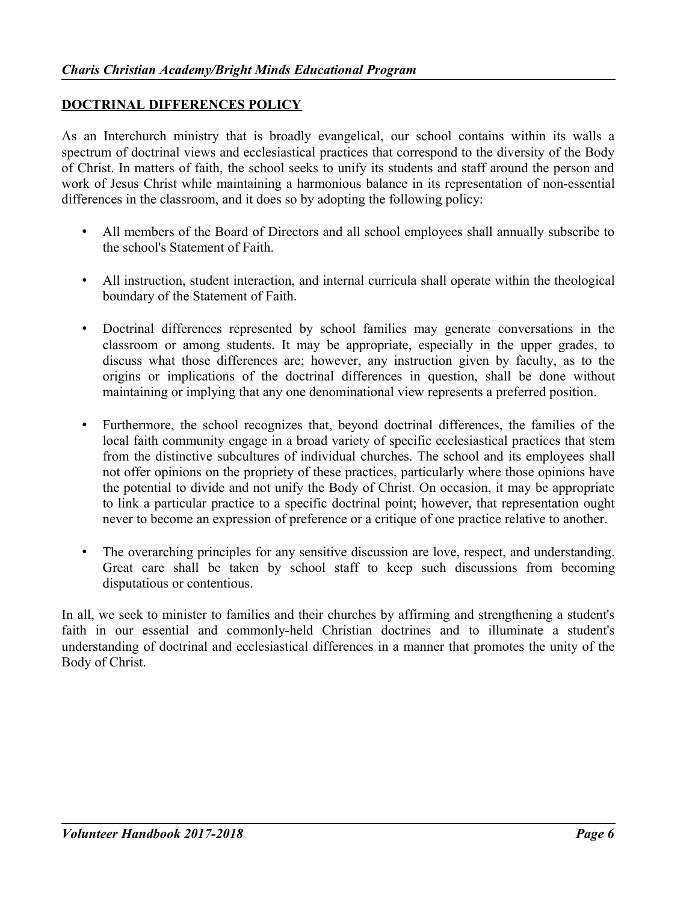#### **DOCTRINAL DIFFERENCES POLICY**

As an Interchurch ministry that is broadly evangelical, our school contains within its walls a spectrum of doctrinal views and ecclesiastical practices that correspond to the diversity of the Body of Christ. In matters of faith, the school seeks to unify its students and staff around the person and work of Jesus Christ while maintaining a harmonious balance in its representation of non-essential differences in the classroom, and it does so by adopting the following policy:

- All members of the Board of Directors and all school employees shall annually subscribe to the school's Statement of Faith.
- All instruction, student interaction, and internal curricula shall operate within the theological boundary of the Statement of Faith.
- Doctrinal differences represented by school families may generate conversations in the classroom or among students. It may be appropriate, especially in the upper grades, to discuss what those differences are; however, any instruction given by faculty, as to the origins or implications of the doctrinal differences in question, shall be done without maintaining or implying that any one denominational view represents a preferred position.
- Furthermore, the school recognizes that, beyond doctrinal differences, the families of the local faith community engage in a broad variety of specific ecclesiastical practices that stem from the distinctive subcultures of individual churches. The school and its employees shall not offer opinions on the propriety of these practices, particularly where those opinions have the potential to divide and not unify the Body of Christ. On occasion, it may be appropriate to link a particular practice to a specific doctrinal point; however, that representation ought never to become an expression of preference or a critique of one practice relative to another.
- The overarching principles for any sensitive discussion are love, respect, and understanding. Great care shall be taken by school staff to keep such discussions from becoming disputatious or contentious.

In all, we seek to minister to families and their churches by affirming and strengthening a student's faith in our essential and commonly-held Christian doctrines and to illuminate a student's understanding of doctrinal and ecclesiastical differences in a manner that promotes the unity of the Body of Christ.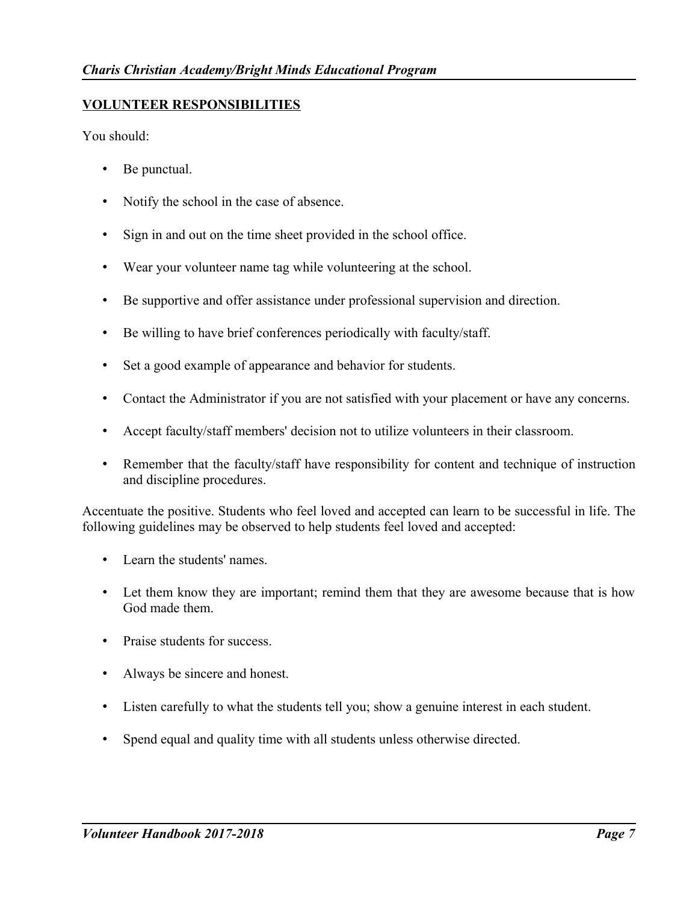# **VOLUNTEER RESPONSIBILITIES**

You should:

- Be punctual.
- Notify the school in the case of absence.
- Sign in and out on the time sheet provided in the school office.
- Wear your volunteer name tag while volunteering at the school.
- Be supportive and offer assistance under professional supervision and direction.
- Be willing to have brief conferences periodically with faculty/staff.
- Set a good example of appearance and behavior for students.
- Contact the Administrator if you are not satisfied with your placement or have any concerns.
- Accept faculty/staff members' decision not to utilize volunteers in their classroom.
- Remember that the faculty/staff have responsibility for content and technique of instruction and discipline procedures.

Accentuate the positive. Students who feel loved and accepted can learn to be successful in life. The following guidelines may be observed to help students feel loved and accepted:

- Learn the students' names.
- Let them know they are important; remind them that they are awesome because that is how God made them.
- Praise students for success.
- Always be sincere and honest.
- Listen carefully to what the students tell you; show a genuine interest in each student.
- Spend equal and quality time with all students unless otherwise directed.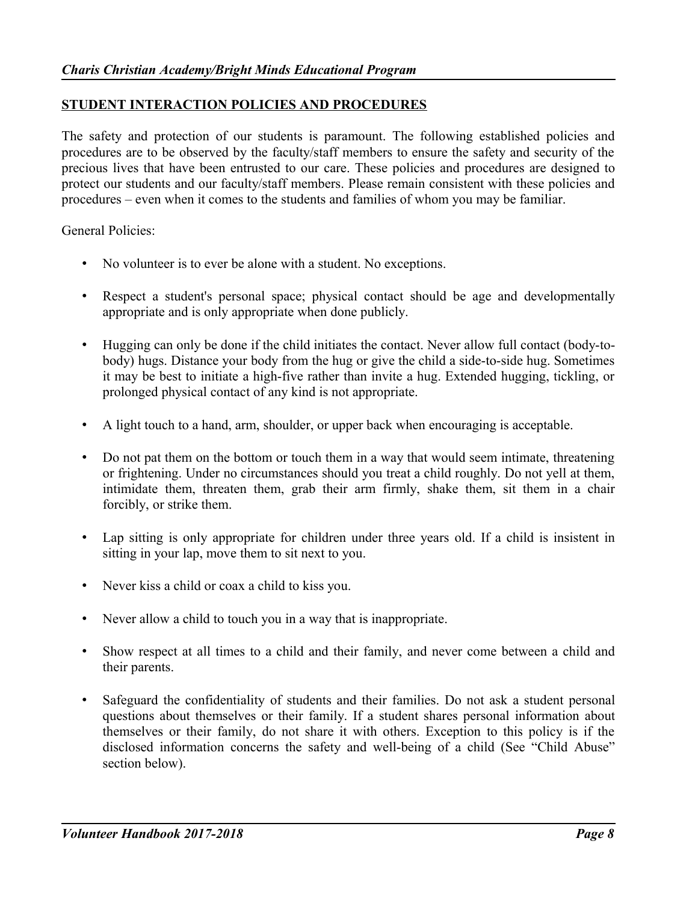## **STUDENT INTERACTION POLICIES AND PROCEDURES**

The safety and protection of our students is paramount. The following established policies and procedures are to be observed by the faculty/staff members to ensure the safety and security of the precious lives that have been entrusted to our care. These policies and procedures are designed to protect our students and our faculty/staff members. Please remain consistent with these policies and procedures – even when it comes to the students and families of whom you may be familiar.

General Policies:

- No volunteer is to ever be alone with a student. No exceptions.
- Respect a student's personal space; physical contact should be age and developmentally appropriate and is only appropriate when done publicly.
- Hugging can only be done if the child initiates the contact. Never allow full contact (body-tobody) hugs. Distance your body from the hug or give the child a side-to-side hug. Sometimes it may be best to initiate a high-five rather than invite a hug. Extended hugging, tickling, or prolonged physical contact of any kind is not appropriate.
- A light touch to a hand, arm, shoulder, or upper back when encouraging is acceptable.
- Do not pat them on the bottom or touch them in a way that would seem intimate, threatening or frightening. Under no circumstances should you treat a child roughly. Do not yell at them, intimidate them, threaten them, grab their arm firmly, shake them, sit them in a chair forcibly, or strike them.
- Lap sitting is only appropriate for children under three years old. If a child is insistent in sitting in your lap, move them to sit next to you.
- Never kiss a child or coax a child to kiss you.
- Never allow a child to touch you in a way that is inappropriate.
- Show respect at all times to a child and their family, and never come between a child and their parents.
- Safeguard the confidentiality of students and their families. Do not ask a student personal questions about themselves or their family. If a student shares personal information about themselves or their family, do not share it with others. Exception to this policy is if the disclosed information concerns the safety and well-being of a child (See "Child Abuse" section below).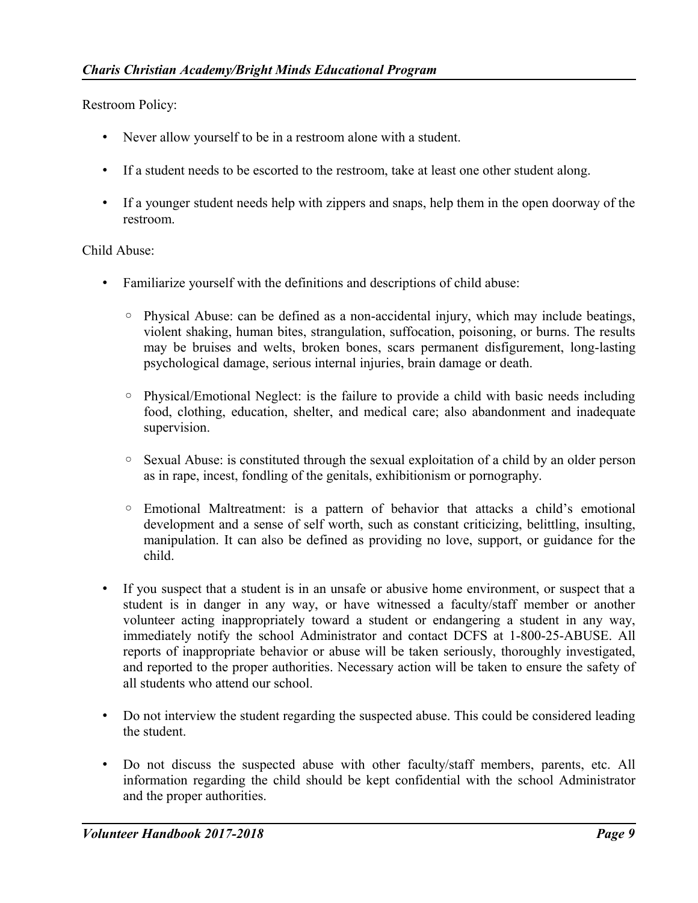Restroom Policy:

- Never allow yourself to be in a restroom alone with a student.
- If a student needs to be escorted to the restroom, take at least one other student along.
- If a younger student needs help with zippers and snaps, help them in the open doorway of the restroom.

Child Abuse:

- Familiarize yourself with the definitions and descriptions of child abuse:
	- Physical Abuse: can be defined as a non-accidental injury, which may include beatings, violent shaking, human bites, strangulation, suffocation, poisoning, or burns. The results may be bruises and welts, broken bones, scars permanent disfigurement, long-lasting psychological damage, serious internal injuries, brain damage or death.
	- Physical/Emotional Neglect: is the failure to provide a child with basic needs including food, clothing, education, shelter, and medical care; also abandonment and inadequate supervision.
	- Sexual Abuse: is constituted through the sexual exploitation of a child by an older person as in rape, incest, fondling of the genitals, exhibitionism or pornography.
	- Emotional Maltreatment: is a pattern of behavior that attacks a child's emotional development and a sense of self worth, such as constant criticizing, belittling, insulting, manipulation. It can also be defined as providing no love, support, or guidance for the child.
- If you suspect that a student is in an unsafe or abusive home environment, or suspect that a student is in danger in any way, or have witnessed a faculty/staff member or another volunteer acting inappropriately toward a student or endangering a student in any way, immediately notify the school Administrator and contact DCFS at 1-800-25-ABUSE. All reports of inappropriate behavior or abuse will be taken seriously, thoroughly investigated, and reported to the proper authorities. Necessary action will be taken to ensure the safety of all students who attend our school.
- Do not interview the student regarding the suspected abuse. This could be considered leading the student.
- Do not discuss the suspected abuse with other faculty/staff members, parents, etc. All information regarding the child should be kept confidential with the school Administrator and the proper authorities.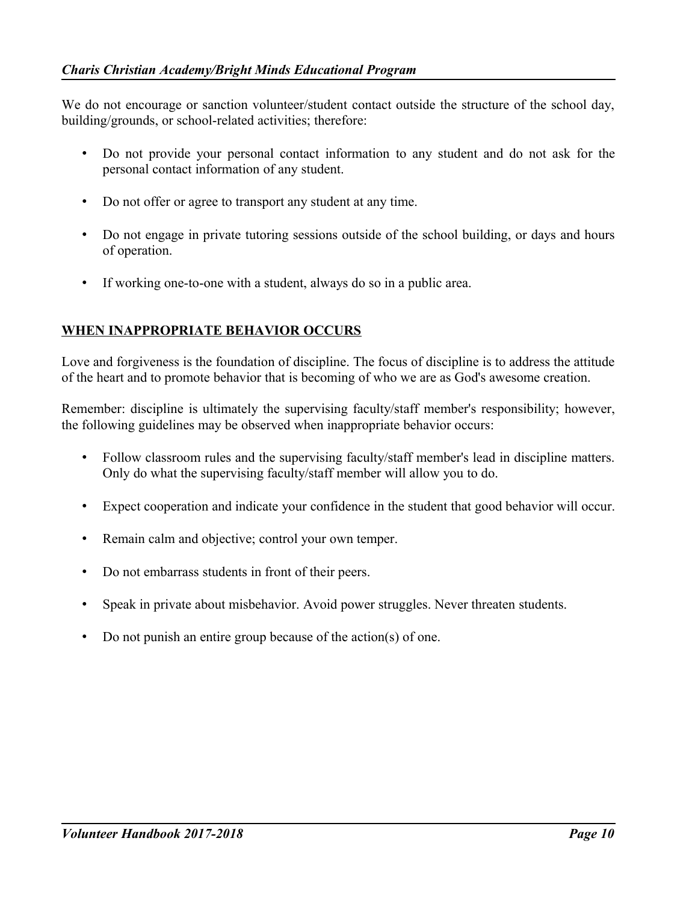We do not encourage or sanction volunteer/student contact outside the structure of the school day, building/grounds, or school-related activities; therefore:

- Do not provide your personal contact information to any student and do not ask for the personal contact information of any student.
- Do not offer or agree to transport any student at any time.
- Do not engage in private tutoring sessions outside of the school building, or days and hours of operation.
- If working one-to-one with a student, always do so in a public area.

# **WHEN INAPPROPRIATE BEHAVIOR OCCURS**

Love and forgiveness is the foundation of discipline. The focus of discipline is to address the attitude of the heart and to promote behavior that is becoming of who we are as God's awesome creation.

Remember: discipline is ultimately the supervising faculty/staff member's responsibility; however, the following guidelines may be observed when inappropriate behavior occurs:

- Follow classroom rules and the supervising faculty/staff member's lead in discipline matters. Only do what the supervising faculty/staff member will allow you to do.
- Expect cooperation and indicate your confidence in the student that good behavior will occur.
- Remain calm and objective; control your own temper.
- Do not embarrass students in front of their peers.
- Speak in private about misbehavior. Avoid power struggles. Never threaten students.
- Do not punish an entire group because of the action(s) of one.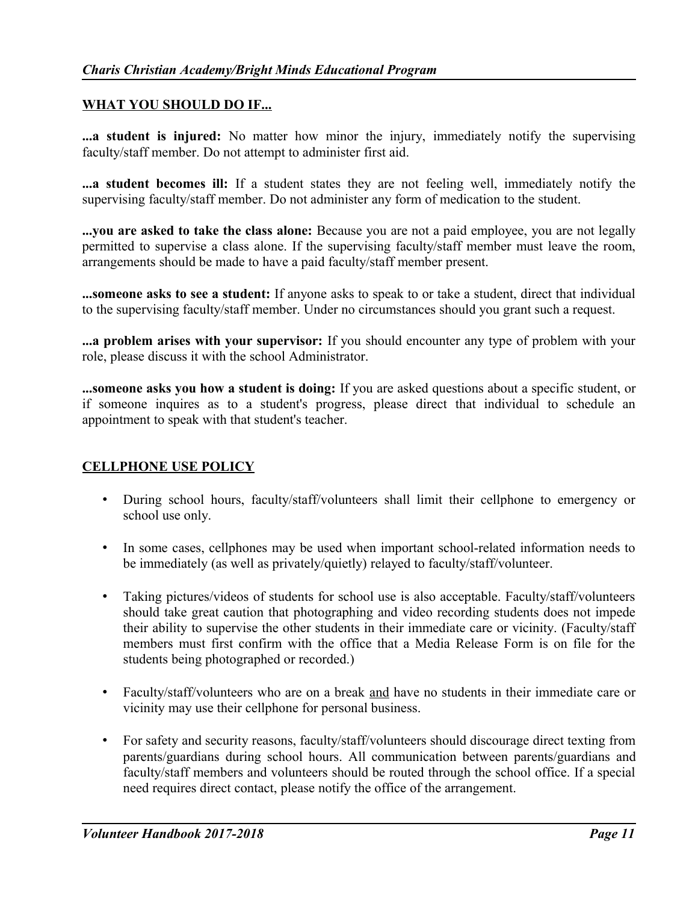## **WHAT YOU SHOULD DO IF...**

**...a student is injured:** No matter how minor the injury, immediately notify the supervising faculty/staff member. Do not attempt to administer first aid.

**...a student becomes ill:** If a student states they are not feeling well, immediately notify the supervising faculty/staff member. Do not administer any form of medication to the student.

**...you are asked to take the class alone:** Because you are not a paid employee, you are not legally permitted to supervise a class alone. If the supervising faculty/staff member must leave the room, arrangements should be made to have a paid faculty/staff member present.

**...someone asks to see a student:** If anyone asks to speak to or take a student, direct that individual to the supervising faculty/staff member. Under no circumstances should you grant such a request.

**...a problem arises with your supervisor:** If you should encounter any type of problem with your role, please discuss it with the school Administrator.

**...someone asks you how a student is doing:** If you are asked questions about a specific student, or if someone inquires as to a student's progress, please direct that individual to schedule an appointment to speak with that student's teacher.

#### **CELLPHONE USE POLICY**

- During school hours, faculty/staff/volunteers shall limit their cellphone to emergency or school use only.
- In some cases, cellphones may be used when important school-related information needs to be immediately (as well as privately/quietly) relayed to faculty/staff/volunteer.
- Taking pictures/videos of students for school use is also acceptable. Faculty/staff/volunteers should take great caution that photographing and video recording students does not impede their ability to supervise the other students in their immediate care or vicinity. (Faculty/staff members must first confirm with the office that a Media Release Form is on file for the students being photographed or recorded.)
- Faculty/staff/volunteers who are on a break and have no students in their immediate care or vicinity may use their cellphone for personal business.
- For safety and security reasons, faculty/staff/volunteers should discourage direct texting from parents/guardians during school hours. All communication between parents/guardians and faculty/staff members and volunteers should be routed through the school office. If a special need requires direct contact, please notify the office of the arrangement.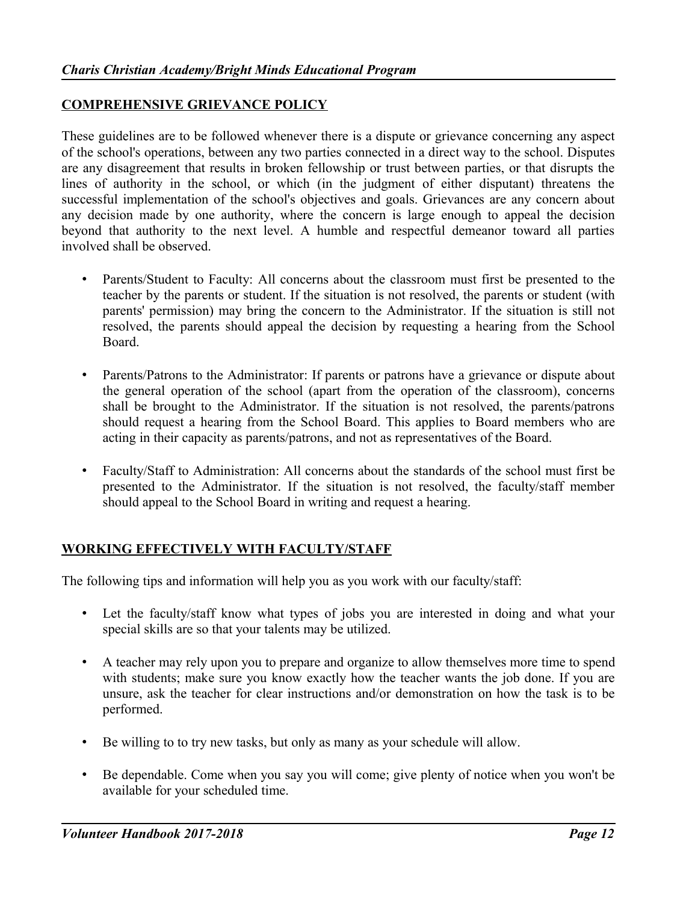#### **COMPREHENSIVE GRIEVANCE POLICY**

These guidelines are to be followed whenever there is a dispute or grievance concerning any aspect of the school's operations, between any two parties connected in a direct way to the school. Disputes are any disagreement that results in broken fellowship or trust between parties, or that disrupts the lines of authority in the school, or which (in the judgment of either disputant) threatens the successful implementation of the school's objectives and goals. Grievances are any concern about any decision made by one authority, where the concern is large enough to appeal the decision beyond that authority to the next level. A humble and respectful demeanor toward all parties involved shall be observed.

- Parents/Student to Faculty: All concerns about the classroom must first be presented to the teacher by the parents or student. If the situation is not resolved, the parents or student (with parents' permission) may bring the concern to the Administrator. If the situation is still not resolved, the parents should appeal the decision by requesting a hearing from the School Board.
- Parents/Patrons to the Administrator: If parents or patrons have a grievance or dispute about the general operation of the school (apart from the operation of the classroom), concerns shall be brought to the Administrator. If the situation is not resolved, the parents/patrons should request a hearing from the School Board. This applies to Board members who are acting in their capacity as parents/patrons, and not as representatives of the Board.
- Faculty/Staff to Administration: All concerns about the standards of the school must first be presented to the Administrator. If the situation is not resolved, the faculty/staff member should appeal to the School Board in writing and request a hearing.

# **WORKING EFFECTIVELY WITH FACULTY/STAFF**

The following tips and information will help you as you work with our faculty/staff:

- Let the faculty/staff know what types of jobs you are interested in doing and what your special skills are so that your talents may be utilized.
- A teacher may rely upon you to prepare and organize to allow themselves more time to spend with students; make sure you know exactly how the teacher wants the job done. If you are unsure, ask the teacher for clear instructions and/or demonstration on how the task is to be performed.
- Be willing to to try new tasks, but only as many as your schedule will allow.
- Be dependable. Come when you say you will come; give plenty of notice when you won't be available for your scheduled time.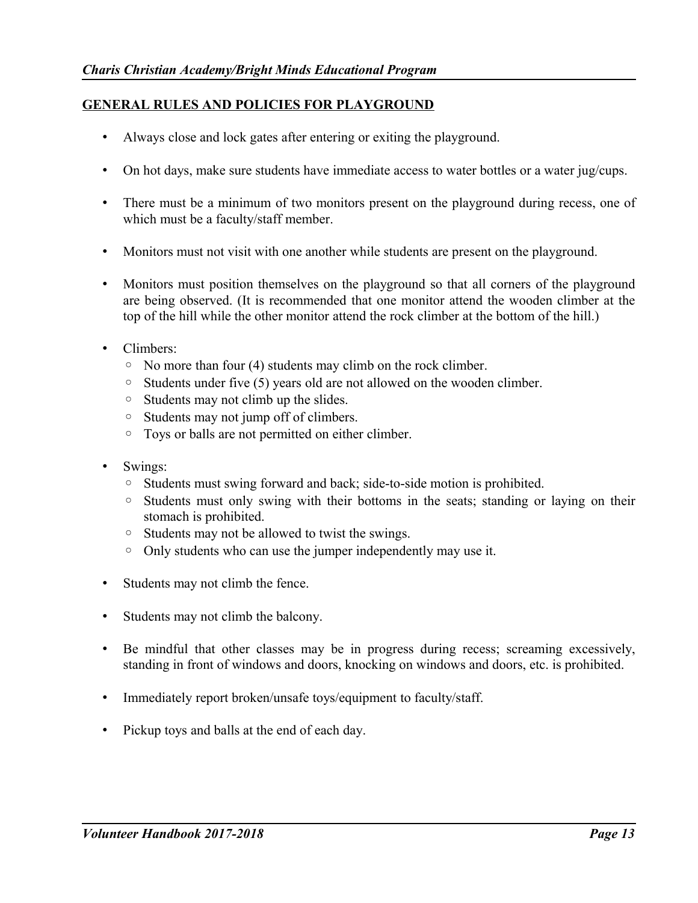# **GENERAL RULES AND POLICIES FOR PLAYGROUND**

- Always close and lock gates after entering or exiting the playground.
- On hot days, make sure students have immediate access to water bottles or a water jug/cups.
- There must be a minimum of two monitors present on the playground during recess, one of which must be a faculty/staff member.
- Monitors must not visit with one another while students are present on the playground.
- Monitors must position themselves on the playground so that all corners of the playground are being observed. (It is recommended that one monitor attend the wooden climber at the top of the hill while the other monitor attend the rock climber at the bottom of the hill.)
- Climbers:
	- No more than four (4) students may climb on the rock climber.
	- Students under five (5) years old are not allowed on the wooden climber.
	- Students may not climb up the slides.
	- Students may not jump off of climbers.
	- Toys or balls are not permitted on either climber.
- Swings:
	- Students must swing forward and back; side-to-side motion is prohibited.
	- Students must only swing with their bottoms in the seats; standing or laying on their stomach is prohibited.
	- Students may not be allowed to twist the swings.
	- Only students who can use the jumper independently may use it.
- Students may not climb the fence.
- Students may not climb the balcony.
- Be mindful that other classes may be in progress during recess; screaming excessively, standing in front of windows and doors, knocking on windows and doors, etc. is prohibited.
- Immediately report broken/unsafe toys/equipment to faculty/staff.
- Pickup toys and balls at the end of each day.